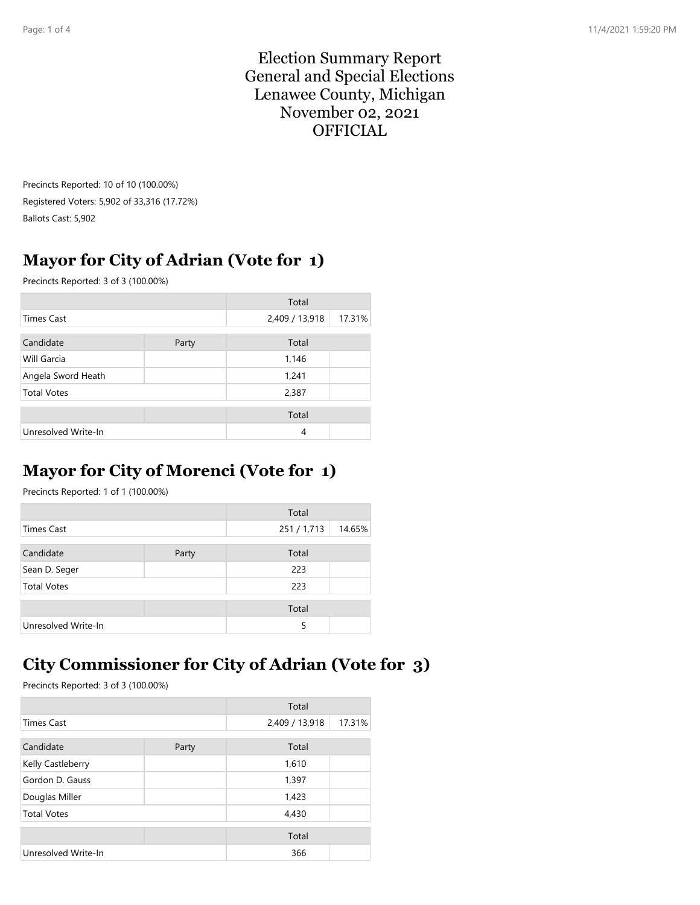Election Summary Report General and Special Elections Lenawee County, Michigan November 02, 2021 **OFFICIAL** 

Precincts Reported: 10 of 10 (100.00%) Registered Voters: 5,902 of 33,316 (17.72%) Ballots Cast: 5,902

### **Mayor for City of Adrian (Vote for 1)**

Precincts Reported: 3 of 3 (100.00%)

|                     |       | Total          |        |
|---------------------|-------|----------------|--------|
| <b>Times Cast</b>   |       | 2,409 / 13,918 | 17.31% |
| Candidate           | Party | Total          |        |
| Will Garcia         |       | 1,146          |        |
| Angela Sword Heath  |       | 1,241          |        |
| <b>Total Votes</b>  |       | 2,387          |        |
|                     |       | Total          |        |
| Unresolved Write-In |       | 4              |        |

#### **Mayor for City of Morenci (Vote for 1)**

Precincts Reported: 1 of 1 (100.00%)

|                     |       | Total       |        |
|---------------------|-------|-------------|--------|
| Times Cast          |       | 251 / 1,713 | 14.65% |
|                     |       |             |        |
| Candidate           | Party | Total       |        |
| Sean D. Seger       |       | 223         |        |
| <b>Total Votes</b>  |       | 223         |        |
|                     |       | Total       |        |
| Unresolved Write-In |       | 5           |        |

## **City Commissioner for City of Adrian (Vote for 3)**

Precincts Reported: 3 of 3 (100.00%)

|                     |       | Total          |        |
|---------------------|-------|----------------|--------|
| <b>Times Cast</b>   |       | 2,409 / 13,918 | 17.31% |
| Candidate           | Party | Total          |        |
| Kelly Castleberry   |       | 1,610          |        |
| Gordon D. Gauss     |       | 1,397          |        |
| Douglas Miller      |       | 1,423          |        |
| <b>Total Votes</b>  |       | 4,430          |        |
|                     |       | Total          |        |
| Unresolved Write-In |       | 366            |        |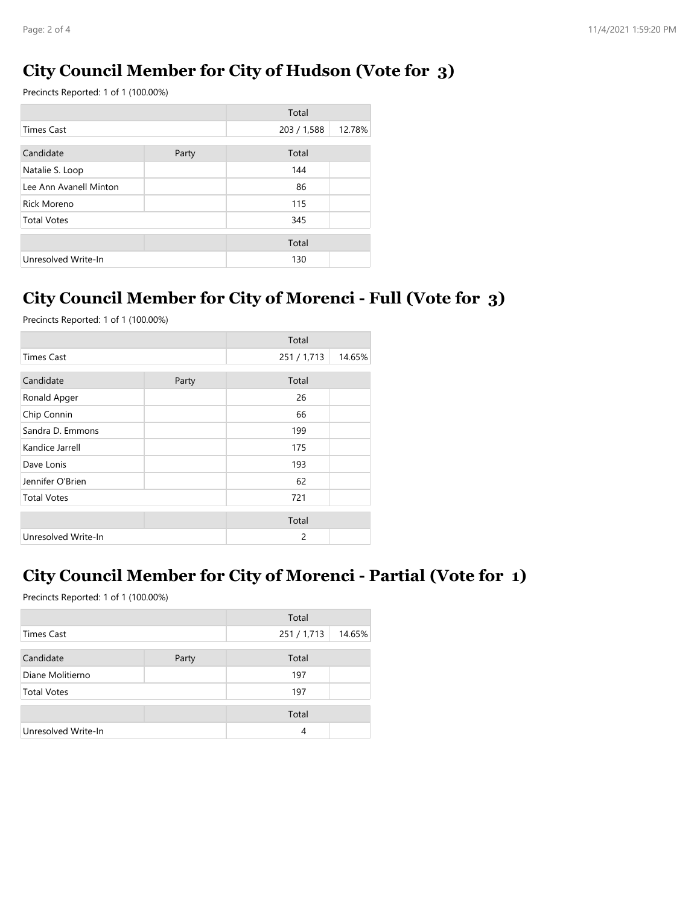#### **City Council Member for City of Hudson (Vote for 3)**

Precincts Reported: 1 of 1 (100.00%)

|                        |       | Total       |        |
|------------------------|-------|-------------|--------|
| Times Cast             |       | 203 / 1,588 | 12.78% |
| Candidate              | Party | Total       |        |
| Natalie S. Loop        |       | 144         |        |
| Lee Ann Avanell Minton |       | 86          |        |
| Rick Moreno            |       | 115         |        |
| <b>Total Votes</b>     |       | 345         |        |
|                        |       | Total       |        |
| Unresolved Write-In    |       | 130         |        |

#### **City Council Member for City of Morenci - Full (Vote for 3)**

Precincts Reported: 1 of 1 (100.00%)

|                     |       | Total     |        |
|---------------------|-------|-----------|--------|
| <b>Times Cast</b>   |       | 251/1,713 | 14.65% |
| Candidate           | Party | Total     |        |
| Ronald Apger        |       | 26        |        |
| Chip Connin         |       | 66        |        |
| Sandra D. Emmons    |       | 199       |        |
| Kandice Jarrell     |       | 175       |        |
| Dave Lonis          |       | 193       |        |
| Jennifer O'Brien    |       | 62        |        |
| <b>Total Votes</b>  |       | 721       |        |
|                     |       | Total     |        |
| Unresolved Write-In |       | 2         |        |

### **City Council Member for City of Morenci - Partial (Vote for 1)**

Precincts Reported: 1 of 1 (100.00%)

|                     |       | Total     |        |
|---------------------|-------|-----------|--------|
| <b>Times Cast</b>   |       | 251/1,713 | 14.65% |
|                     |       |           |        |
| Candidate           | Party | Total     |        |
| Diane Molitierno    |       | 197       |        |
| <b>Total Votes</b>  |       | 197       |        |
|                     |       | Total     |        |
| Unresolved Write-In |       | 4         |        |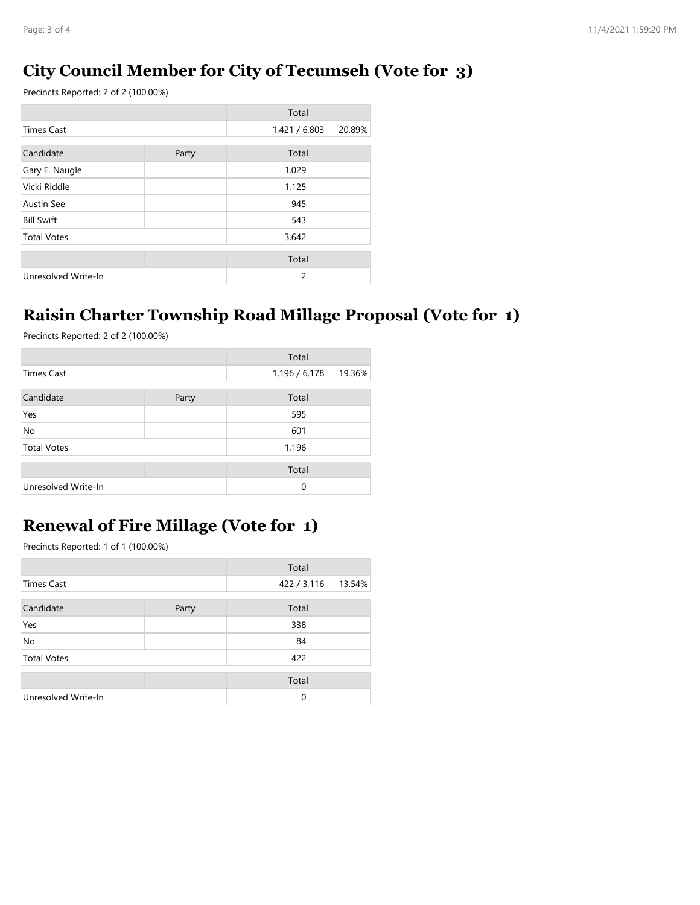### **City Council Member for City of Tecumseh (Vote for 3)**

Precincts Reported: 2 of 2 (100.00%)

|                     |       | Total         |        |
|---------------------|-------|---------------|--------|
| Times Cast          |       | 1,421 / 6,803 | 20.89% |
| Candidate           | Party | Total         |        |
| Gary E. Naugle      |       | 1,029         |        |
| Vicki Riddle        |       | 1,125         |        |
| <b>Austin See</b>   |       | 945           |        |
| <b>Bill Swift</b>   |       | 543           |        |
| <b>Total Votes</b>  |       | 3,642         |        |
|                     |       | Total         |        |
| Unresolved Write-In |       | 2             |        |

#### **Raisin Charter Township Road Millage Proposal (Vote for 1)**

Precincts Reported: 2 of 2 (100.00%)

|                     |       | Total       |        |
|---------------------|-------|-------------|--------|
| <b>Times Cast</b>   |       | 1,196/6,178 | 19.36% |
| Candidate           | Party | Total       |        |
| Yes                 |       | 595         |        |
| No                  |       | 601         |        |
| <b>Total Votes</b>  |       | 1,196       |        |
|                     |       | Total       |        |
| Unresolved Write-In |       | $\mathbf 0$ |        |

#### **Renewal of Fire Millage (Vote for 1)**

Precincts Reported: 1 of 1 (100.00%)

|                     |       | Total       |        |
|---------------------|-------|-------------|--------|
| <b>Times Cast</b>   |       | 422 / 3,116 | 13.54% |
| Candidate           | Party | Total       |        |
| Yes                 |       | 338         |        |
| No                  |       | 84          |        |
| <b>Total Votes</b>  |       | 422         |        |
|                     |       | Total       |        |
| Unresolved Write-In |       | $\mathbf 0$ |        |